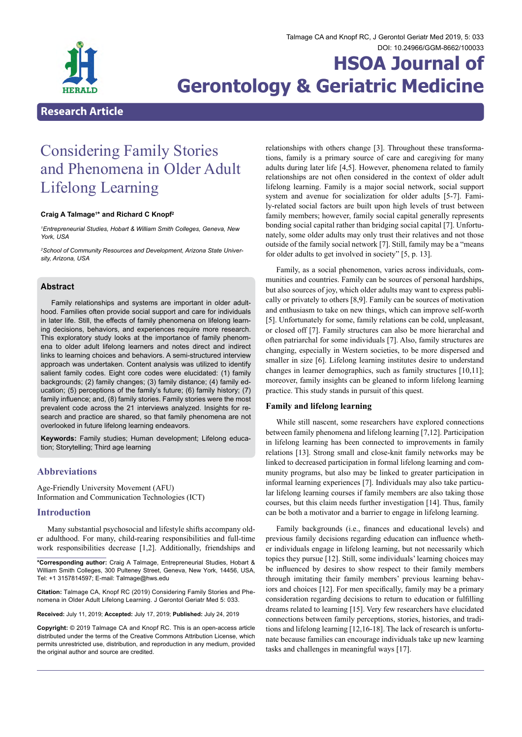

# **HSOA Journal of Gerontology & Geriatric Medicine**

# **Research Article**

# Considering Family Stories and Phenomena in Older Adult Lifelong Learning

#### **Craig A Talmage1 \* and Richard C Knopf2**

*1 Entrepreneurial Studies, Hobart & William Smith Colleges, Geneva, New York, USA*

*2 School of Community Resources and Development, Arizona State University, Arizona, USA*

# **Abstract**

Family relationships and systems are important in older adulthood. Families often provide social support and care for individuals in later life. Still, the effects of family phenomena on lifelong learning decisions, behaviors, and experiences require more research. This exploratory study looks at the importance of family phenomena to older adult lifelong learners and notes direct and indirect links to learning choices and behaviors. A semi-structured interview approach was undertaken. Content analysis was utilized to identify salient family codes. Eight core codes were elucidated: (1) family backgrounds; (2) family changes; (3) family distance; (4) family education; (5) perceptions of the family's future; (6) family history; (7) family influence; and, (8) family stories. Family stories were the most prevalent code across the 21 interviews analyzed. Insights for research and practice are shared, so that family phenomena are not overlooked in future lifelong learning endeavors.

**Keywords:** Family studies; Human development; Lifelong education; Storytelling; Third age learning

# **Abbreviations**

Age-Friendly University Movement (AFU) Information and Communication Technologies (ICT)

# **Introduction**

Many substantial psychosocial and lifestyle shifts accompany older adulthood. For many, child-rearing responsibilities and full-time work responsibilities decrease [1,2]. Additionally, friendships and

**Received:** July 11, 2019; **Accepted:** July 17, 2019; **Published:** July 24, 2019

**Copyright:** © 2019 Talmage CA and Knopf RC. This is an open-access article distributed under the terms of the Creative Commons Attribution License, which permits unrestricted use, distribution, and reproduction in any medium, provided the original author and source are credited.

relationships with others change [3]. Throughout these transformations, family is a primary source of care and caregiving for many adults during later life [4,5]. However, phenomena related to family relationships are not often considered in the context of older adult lifelong learning. Family is a major social network, social support system and avenue for socialization for older adults [5-7]. Family-related social factors are built upon high levels of trust between family members; however, family social capital generally represents bonding social capital rather than bridging social capital [7]. Unfortunately, some older adults may only trust their relatives and not those outside of the family social network [7]. Still, family may be a "means for older adults to get involved in society" [5, p. 13].

Family, as a social phenomenon, varies across individuals, communities and countries. Family can be sources of personal hardships, but also sources of joy, which older adults may want to express publically or privately to others [8,9]. Family can be sources of motivation and enthusiasm to take on new things, which can improve self-worth [5]. Unfortunately for some, family relations can be cold, unpleasant, or closed off [7]. Family structures can also be more hierarchal and often patriarchal for some individuals [7]. Also, family structures are changing, especially in Western societies, to be more dispersed and smaller in size [6]. Lifelong learning institutes desire to understand changes in learner demographics, such as family structures [10,11]; moreover, family insights can be gleaned to inform lifelong learning practice. This study stands in pursuit of this quest.

#### **Family and lifelong learning**

While still nascent, some researchers have explored connections between family phenomena and lifelong learning [7,12]. Participation in lifelong learning has been connected to improvements in family relations [13]. Strong small and close-knit family networks may be linked to decreased participation in formal lifelong learning and community programs, but also may be linked to greater participation in informal learning experiences [7]. Individuals may also take particular lifelong learning courses if family members are also taking those courses, but this claim needs further investigation [14]. Thus, family can be both a motivator and a barrier to engage in lifelong learning.

Family backgrounds (i.e., finances and educational levels) and previous family decisions regarding education can influence whether individuals engage in lifelong learning, but not necessarily which topics they pursue [12]. Still, some individuals' learning choices may be influenced by desires to show respect to their family members through imitating their family members' previous learning behaviors and choices [12]. For men specifically, family may be a primary consideration regarding decisions to return to education or fulfilling dreams related to learning [15]. Very few researchers have elucidated connections between family perceptions, stories, histories, and traditions and lifelong learning [12,16-18]. The lack of research is unfortunate because families can encourage individuals take up new learning tasks and challenges in meaningful ways [17].

**<sup>\*</sup>Corresponding author:** Craig A Talmage, Entrepreneurial Studies, Hobart & William Smith Colleges, 300 Pulteney Street, Geneva, New York, 14456, USA, Tel: +1 3157814597; E-mail: Talmage@hws.edu

**Citation:** Talmage CA, Knopf RC (2019) Considering Family Stories and Phe- nomena in Older Adult Lifelong Learning. J Gerontol Geriatr Med 5: 033.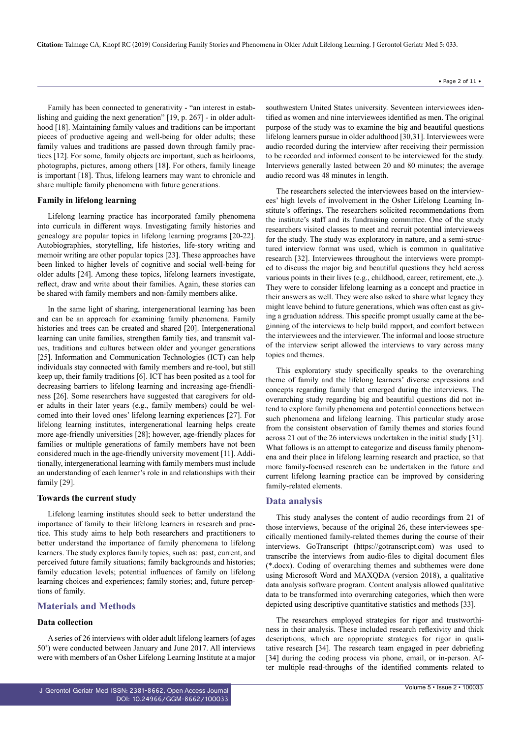**Citation:** Talmage CA, Knopf RC (2019) Considering Family Stories and Phenomena in Older Adult Lifelong Learning. J Gerontol Geriatr Med 5: 033.

Family has been connected to generativity - "an interest in establishing and guiding the next generation" [19, p. 267] - in older adulthood [18]. Maintaining family values and traditions can be important pieces of productive ageing and well-being for older adults; these family values and traditions are passed down through family practices [12]. For some, family objects are important, such as heirlooms, photographs, pictures, among others [18]. For others, family lineage is important [18]. Thus, lifelong learners may want to chronicle and share multiple family phenomena with future generations.

#### **Family in lifelong learning**

Lifelong learning practice has incorporated family phenomena into curricula in different ways. Investigating family histories and genealogy are popular topics in lifelong learning programs [20-22]. Autobiographies, storytelling, life histories, life-story writing and memoir writing are other popular topics [23]. These approaches have been linked to higher levels of cognitive and social well-being for older adults [24]. Among these topics, lifelong learners investigate, reflect, draw and write about their families. Again, these stories can be shared with family members and non-family members alike.

In the same light of sharing, intergenerational learning has been and can be an approach for examining family phenomena. Family histories and trees can be created and shared [20]. Intergenerational learning can unite families, strengthen family ties, and transmit values, traditions and cultures between older and younger generations [25]. Information and Communication Technologies (ICT) can help individuals stay connected with family members and re-tool, but still keep up, their family traditions [6]. ICT has been posited as a tool for decreasing barriers to lifelong learning and increasing age-friendliness [26]. Some researchers have suggested that caregivers for older adults in their later years (e.g., family members) could be welcomed into their loved ones' lifelong learning experiences [27]. For lifelong learning institutes, intergenerational learning helps create more age-friendly universities [28]; however, age-friendly places for families or multiple generations of family members have not been considered much in the age-friendly university movement [11]. Additionally, intergenerational learning with family members must include an understanding of each learner's role in and relationships with their family [29].

#### **Towards the current study**

Lifelong learning institutes should seek to better understand the importance of family to their lifelong learners in research and practice. This study aims to help both researchers and practitioners to better understand the importance of family phenomena to lifelong learners. The study explores family topics, such as: past, current, and perceived future family situations; family backgrounds and histories; family education levels; potential influences of family on lifelong learning choices and experiences; family stories; and, future perceptions of family.

#### **Materials and Methods**

#### **Data collection**

A series of 26 interviews with older adult lifelong learners (of ages 50+ ) were conducted between January and June 2017. All interviews were with members of an Osher Lifelong Learning Institute at a major

southwestern United States university. Seventeen interviewees identified as women and nine interviewees identified as men. The original purpose of the study was to examine the big and beautiful questions lifelong learners pursue in older adulthood [30,31]. Interviewees were audio recorded during the interview after receiving their permission to be recorded and informed consent to be interviewed for the study. Interviews generally lasted between 20 and 80 minutes; the average audio record was 48 minutes in length.

The researchers selected the interviewees based on the interviewees' high levels of involvement in the Osher Lifelong Learning Institute's offerings. The researchers solicited recommendations from the institute's staff and its fundraising committee. One of the study researchers visited classes to meet and recruit potential interviewees for the study. The study was exploratory in nature, and a semi-structured interview format was used, which is common in qualitative research [32]. Interviewees throughout the interviews were prompted to discuss the major big and beautiful questions they held across various points in their lives (e.g., childhood, career, retirement, etc.,). They were to consider lifelong learning as a concept and practice in their answers as well. They were also asked to share what legacy they might leave behind to future generations, which was often cast as giving a graduation address. This specific prompt usually came at the beginning of the interviews to help build rapport, and comfort between the interviewees and the interviewer. The informal and loose structure of the interview script allowed the interviews to vary across many topics and themes.

This exploratory study specifically speaks to the overarching theme of family and the lifelong learners' diverse expressions and concepts regarding family that emerged during the interviews. The overarching study regarding big and beautiful questions did not intend to explore family phenomena and potential connections between such phenomena and lifelong learning. This particular study arose from the consistent observation of family themes and stories found across 21 out of the 26 interviews undertaken in the initial study [31]. What follows is an attempt to categorize and discuss family phenomena and their place in lifelong learning research and practice, so that more family-focused research can be undertaken in the future and current lifelong learning practice can be improved by considering family-related elements.

#### **Data analysis**

This study analyses the content of audio recordings from 21 of those interviews, because of the original 26, these interviewees specifically mentioned family-related themes during the course of their interviews. GoTranscript (<https://gotranscript.com>) was used to transcribe the interviews from audio-files to digital document files (\*.docx). Coding of overarching themes and subthemes were done using Microsoft Word and MAXQDA (version 2018), a qualitative data analysis software program. Content analysis allowed qualitative data to be transformed into overarching categories, which then were depicted using descriptive quantitative statistics and methods [33].

The researchers employed strategies for rigor and trustworthiness in their analysis. These included research reflexivity and thick descriptions, which are appropriate strategies for rigor in qualitative research [34]. The research team engaged in peer debriefing [34] during the coding process via phone, email, or in-person. After multiple read-throughs of the identified comments related to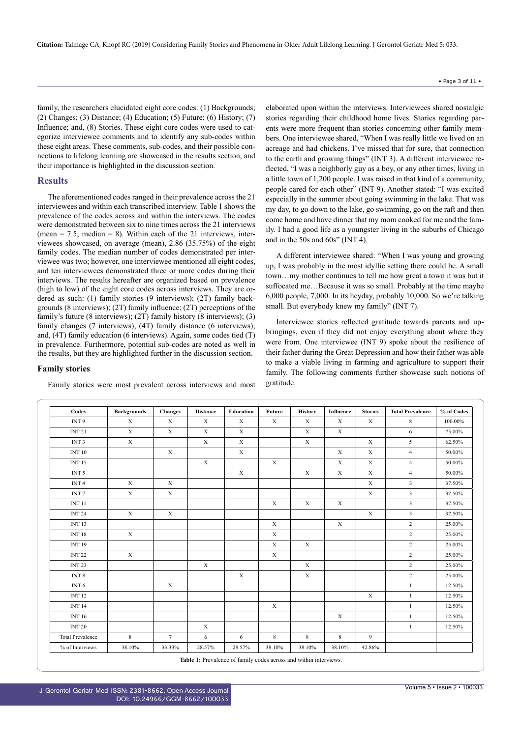family, the researchers elucidated eight core codes: (1) Backgrounds; (2) Changes; (3) Distance; (4) Education; (5) Future; (6) History; (7) Influence; and, (8) Stories. These eight core codes were used to categorize interviewee comments and to identify any sub-codes within these eight areas. These comments, sub-codes, and their possible connections to lifelong learning are showcased in the results section, and their importance is highlighted in the discussion section.

### **Results**

The aforementioned codes ranged in their prevalence across the 21 interviewees and within each transcribed interview. Table 1 shows the prevalence of the codes across and within the interviews. The codes were demonstrated between six to nine times across the 21 interviews (mean  $= 7.5$ ; median  $= 8$ ). Within each of the 21 interviews, interviewees showcased, on average (mean), 2.86 (35.75%) of the eight family codes. The median number of codes demonstrated per interviewee was two; however, one interviewee mentioned all eight codes, and ten interviewees demonstrated three or more codes during their interviews. The results hereafter are organized based on prevalence (high to low) of the eight core codes across interviews. They are ordered as such: (1) family stories (9 interviews); (2T) family backgrounds (8 interviews); (2T) family influence; (2T) perceptions of the family's future (8 interviews); (2T) family history (8 interviews); (3) family changes (7 interviews); (4T) family distance (6 interviews); and, (4T) family education (6 interviews). Again, some codes tied (T) in prevalence. Furthermore, potential sub-codes are noted as well in the results, but they are highlighted further in the discussion section.

#### **Family stories**

Family stories were most prevalent across interviews and most

elaborated upon within the interviews. Interviewees shared nostalgic stories regarding their childhood home lives. Stories regarding parents were more frequent than stories concerning other family members. One interviewee shared, "When I was really little we lived on an acreage and had chickens. I've missed that for sure, that connection to the earth and growing things" (INT 3). A different interviewee reflected, "I was a neighborly guy as a boy, or any other times, living in a little town of 1,200 people. I was raised in that kind of a community, people cared for each other" (INT 9). Another stated: "I was excited especially in the summer about going swimming in the lake. That was my day, to go down to the lake, go swimming, go on the raft and then come home and have dinner that my mom cooked for me and the family. I had a good life as a youngster living in the suburbs of Chicago and in the 50s and 60s" (INT 4).

A different interviewee shared: "When I was young and growing up, I was probably in the most idyllic setting there could be. A small town…my mother continues to tell me how great a town it was but it suffocated me…Because it was so small. Probably at the time maybe 6,000 people, 7,000. In its heyday, probably 10,000. So we're talking small. But everybody knew my family" (INT 7).

Interviewee stories reflected gratitude towards parents and upbringings, even if they did not enjoy everything about where they were from. One interviewee (INT 9) spoke about the resilience of their father during the Great Depression and how their father was able to make a viable living in farming and agriculture to support their family. The following comments further showcase such notions of gratitude.

| Codes                   | <b>Backgrounds</b> | <b>Changes</b> | <b>Distance</b> | Education   | Future       | <b>History</b> | Influence   | <b>Stories</b> | <b>Total Prevalence</b> | % of Codes |
|-------------------------|--------------------|----------------|-----------------|-------------|--------------|----------------|-------------|----------------|-------------------------|------------|
| INT <sub>9</sub>        | X                  | X              | X               | X           | $\mathbf{X}$ | X              | X           | X              | 8                       | 100.00%    |
| <b>INT 21</b>           | $\mathbf x$        | $\mathbf X$    | $\mathbf X$     | $\mathbf X$ |              | $\mathbf X$    | $\mathbf x$ |                | 6                       | 75.00%     |
| INT <sub>3</sub>        | $\mathbf x$        |                | $\mathbf X$     | $\mathbf X$ |              | $\mathbf X$    |             | X              | 5                       | 62.50%     |
| <b>INT 10</b>           |                    | $\mathbf x$    |                 | $\mathbf X$ |              |                | $\mathbf X$ | $\mathbf X$    | $\overline{4}$          | 50.00%     |
| <b>INT 15</b>           |                    |                | $\mathbf X$     |             | $\mathbf x$  |                | $\mathbf X$ | $\mathbf X$    | $\overline{4}$          | 50.00%     |
| INT <sub>5</sub>        |                    |                |                 | $\mathbf X$ |              | $\mathbf X$    | $\mathbf X$ | $\mathbf x$    | $\overline{4}$          | 50.00%     |
| INT <sub>4</sub>        | $\mathbf X$        | $\mathbf X$    |                 |             |              |                |             | $\mathbf x$    | $\overline{3}$          | 37.50%     |
| INT <sub>7</sub>        | $\mathbf x$        | $\mathbf x$    |                 |             |              |                |             | $\mathbf x$    | $\mathbf{3}$            | 37.50%     |
| <b>INT 11</b>           |                    |                |                 |             | $\mathbf x$  | $\mathbf X$    | $\mathbf X$ |                | $\overline{3}$          | 37.50%     |
| <b>INT 24</b>           | $\mathbf x$        | $\mathbf x$    |                 |             |              |                |             | $\mathbf x$    | $\overline{\mathbf{3}}$ | 37.50%     |
| <b>INT 13</b>           |                    |                |                 |             | $\mathbf X$  |                | $\mathbf X$ |                | $\overline{2}$          | 25.00%     |
| <b>INT 18</b>           | $\mathbf x$        |                |                 |             | $\mathbf x$  |                |             |                | $\overline{2}$          | 25.00%     |
| <b>INT 19</b>           |                    |                |                 |             | $\mathbf X$  | $\mathbf x$    |             |                | $\overline{2}$          | 25.00%     |
| <b>INT 22</b>           | $\mathbf x$        |                |                 |             | $\mathbf X$  |                |             |                | $\overline{2}$          | 25.00%     |
| <b>INT 23</b>           |                    |                | $\mathbf X$     |             |              | $\mathbf X$    |             |                | $\overline{2}$          | 25.00%     |
| INT <sub>8</sub>        |                    |                |                 | $\mathbf X$ |              | $\mathbf X$    |             |                | $\overline{2}$          | 25.00%     |
| INT <sub>6</sub>        |                    | $\mathbf X$    |                 |             |              |                |             |                | $\mathbf{1}$            | 12.50%     |
| <b>INT 12</b>           |                    |                |                 |             |              |                |             | $\mathbf X$    | $\mathbf{1}$            | 12.50%     |
| <b>INT 14</b>           |                    |                |                 |             | $\mathbf X$  |                |             |                | $\mathbf{1}$            | 12.50%     |
| <b>INT 16</b>           |                    |                |                 |             |              |                | $\mathbf X$ |                | $\mathbf{1}$            | 12.50%     |
| <b>INT 20</b>           |                    |                | $\mathbf X$     |             |              |                |             |                | $\mathbf{1}$            | 12.50%     |
| <b>Total Prevalence</b> | $8\,$              | $\tau$         | 6               | 6           | $\,$ 8 $\,$  | 8              | 8           | 9              |                         |            |
| % of Interviews         | 38.10%             | 33.33%         | 28.57%          | 28.57%      | 38.10%       | 38.10%         | 38.10%      | 42.86%         |                         |            |

**Table 1:** Prevalence of family codes across and within interviews.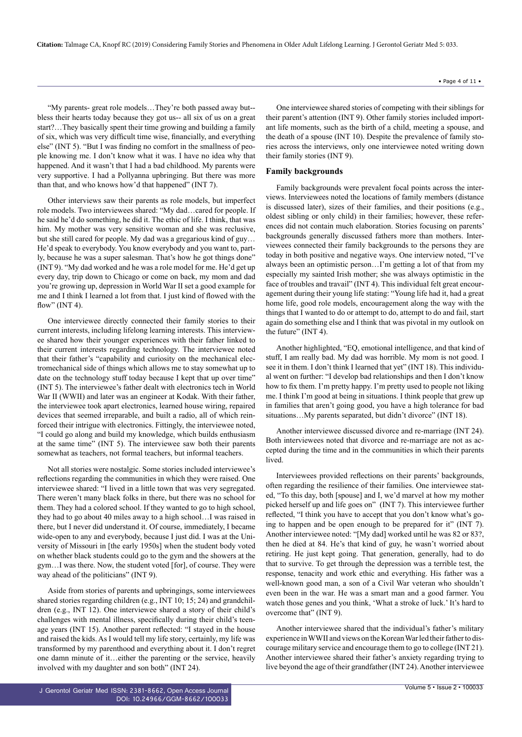**Citation:** Talmage CA, Knopf RC (2019) Considering Family Stories and Phenomena in Older Adult Lifelong Learning. J Gerontol Geriatr Med 5: 033.

"My parents- great role models…They're both passed away but- bless their hearts today because they got us-- all six of us on a great start?…They basically spent their time growing and building a family of six, which was very difficult time wise, financially, and everything else" (INT 5). "But I was finding no comfort in the smallness of people knowing me. I don't know what it was. I have no idea why that happened. And it wasn't that I had a bad childhood. My parents were very supportive. I had a Pollyanna upbringing. But there was more than that, and who knows how'd that happened" (INT 7).

Other interviews saw their parents as role models, but imperfect role models. Two interviewees shared: "My dad…cared for people. If he said he'd do something, he did it. The ethic of life. I think, that was him. My mother was very sensitive woman and she was reclusive, but she still cared for people. My dad was a gregarious kind of guy… He'd speak to everybody. You know everybody and you want to, partly, because he was a super salesman. That's how he got things done" (INT 9). "My dad worked and he was a role model for me. He'd get up every day, trip down to Chicago or come on back, my mom and dad you're growing up, depression in World War II set a good example for me and I think I learned a lot from that. I just kind of flowed with the flow" (INT 4).

One interviewee directly connected their family stories to their current interests, including lifelong learning interests. This interviewee shared how their younger experiences with their father linked to their current interests regarding technology. The interviewee noted that their father's "capability and curiosity on the mechanical electromechanical side of things which allows me to stay somewhat up to date on the technology stuff today because I kept that up over time" (INT 5). The interviewee's father dealt with electronics tech in World War II (WWII) and later was an engineer at Kodak. With their father, the interviewee took apart electronics, learned house wiring, repaired devices that seemed irreparable, and built a radio, all of which reinforced their intrigue with electronics. Fittingly, the interviewee noted, "I could go along and build my knowledge, which builds enthusiasm at the same time" (INT 5). The interviewee saw both their parents somewhat as teachers, not formal teachers, but informal teachers.

Not all stories were nostalgic. Some stories included interviewee's reflections regarding the communities in which they were raised. One interviewee shared: "I lived in a little town that was very segregated. There weren't many black folks in there, but there was no school for them. They had a colored school. If they wanted to go to high school, they had to go about 40 miles away to a high school…I was raised in there, but I never did understand it. Of course, immediately, I became wide-open to any and everybody, because I just did. I was at the University of Missouri in [the early 1950s] when the student body voted on whether black students could go to the gym and the showers at the gym…I was there. Now, the student voted [for], of course. They were way ahead of the politicians" (INT 9).

Aside from stories of parents and upbringings, some interviewees shared stories regarding children (e.g., INT 10; 15; 24) and grandchildren (e.g., INT 12). One interviewee shared a story of their child's challenges with mental illness, specifically during their child's teenage years (INT 15). Another parent reflected: "I stayed in the house and raised the kids. As I would tell my life story, certainly, my life was transformed by my parenthood and everything about it. I don't regret one damn minute of it…either the parenting or the service, heavily involved with my daughter and son both" (INT 24).

One interviewee shared stories of competing with their siblings for their parent's attention (INT 9). Other family stories included important life moments, such as the birth of a child, meeting a spouse, and the death of a spouse (INT 10). Despite the prevalence of family stories across the interviews, only one interviewee noted writing down their family stories (INT 9).

#### **Family backgrounds**

Family backgrounds were prevalent focal points across the interviews. Interviewees noted the locations of family members (distance is discussed later), sizes of their families, and their positions (e.g., oldest sibling or only child) in their families; however, these references did not contain much elaboration. Stories focusing on parents' backgrounds generally discussed fathers more than mothers. Interviewees connected their family backgrounds to the persons they are today in both positive and negative ways. One interview noted, "I've always been an optimistic person…I'm getting a lot of that from my especially my sainted Irish mother; she was always optimistic in the face of troubles and travail" (INT 4). This individual felt great encouragement during their young life stating: "Young life had it, had a great home life, good role models, encouragement along the way with the things that I wanted to do or attempt to do, attempt to do and fail, start again do something else and I think that was pivotal in my outlook on the future" (INT 4).

Another highlighted, "EQ, emotional intelligence, and that kind of stuff, I am really bad. My dad was horrible. My mom is not good. I see it in them. I don't think I learned that yet" (INT 18). This individual went on further: "I develop bad relationships and then I don't know how to fix them. I'm pretty happy. I'm pretty used to people not liking me. I think I'm good at being in situations. I think people that grew up in families that aren't going good, you have a high tolerance for bad situations...My parents separated, but didn't divorce" (INT 18).

Another interviewee discussed divorce and re-marriage (INT 24). Both interviewees noted that divorce and re-marriage are not as accepted during the time and in the communities in which their parents lived.

Interviewees provided reflections on their parents' backgrounds, often regarding the resilience of their families. One interviewee stated, "To this day, both [spouse] and I, we'd marvel at how my mother picked herself up and life goes on" (INT 7). This interviewee further reflected, "I think you have to accept that you don't know what's going to happen and be open enough to be prepared for it" (INT 7). Another interviewee noted: "[My dad] worked until he was 82 or 83?, then he died at 84. He's that kind of guy, he wasn't worried about retiring. He just kept going. That generation, generally, had to do that to survive. To get through the depression was a terrible test, the response, tenacity and work ethic and everything. His father was a well-known good man, a son of a Civil War veteran who shouldn't even been in the war. He was a smart man and a good farmer. You watch those genes and you think, 'What a stroke of luck.' It's hard to overcome that" (INT 9).

Another interviewee shared that the individual's father's military experience in WWII and views on the Korean War led their father to discourage military service and encourage them to go to college (INT 21). Another interviewee shared their father's anxiety regarding trying to live beyond the age of their grandfather (INT 24). Another interviewee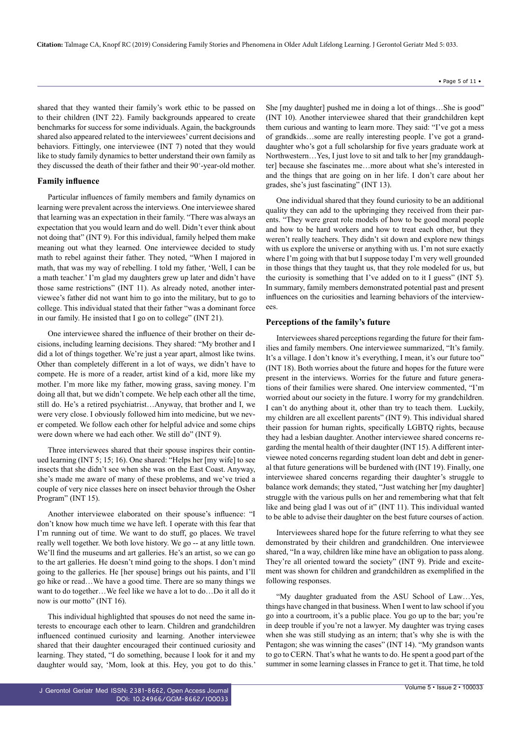shared that they wanted their family's work ethic to be passed on to their children (INT 22). Family backgrounds appeared to create benchmarks for success for some individuals. Again, the backgrounds shared also appeared related to the interviewees' current decisions and behaviors. Fittingly, one interviewee (INT 7) noted that they would like to study family dynamics to better understand their own family as they discussed the death of their father and their 90<sup>+</sup>-year-old mother.

#### **Family influence**

Particular influences of family members and family dynamics on learning were prevalent across the interviews. One interviewee shared that learning was an expectation in their family. "There was always an expectation that you would learn and do well. Didn't ever think about not doing that" (INT 9). For this individual, family helped them make meaning out what they learned. One interviewee decided to study math to rebel against their father. They noted, "When I majored in math, that was my way of rebelling. I told my father, 'Well, I can be a math teacher.' I'm glad my daughters grew up later and didn't have those same restrictions" (INT 11). As already noted, another interviewee's father did not want him to go into the military, but to go to college. This individual stated that their father "was a dominant force in our family. He insisted that I go on to college" (INT 21).

One interviewee shared the influence of their brother on their decisions, including learning decisions. They shared: "My brother and I did a lot of things together. We're just a year apart, almost like twins. Other than completely different in a lot of ways, we didn't have to compete. He is more of a reader, artist kind of a kid, more like my mother. I'm more like my father, mowing grass, saving money. I'm doing all that, but we didn't compete. We help each other all the time, still do. He's a retired psychiatrist…Anyway, that brother and I, we were very close. I obviously followed him into medicine, but we never competed. We follow each other for helpful advice and some chips were down where we had each other. We still do" (INT 9).

Three interviewees shared that their spouse inspires their continued learning (INT 5; 15; 16). One shared: "Helps her [my wife] to see insects that she didn't see when she was on the East Coast. Anyway, she's made me aware of many of these problems, and we've tried a couple of very nice classes here on insect behavior through the Osher Program" (INT 15).

Another interviewee elaborated on their spouse's influence: "I don't know how much time we have left. I operate with this fear that I'm running out of time. We want to do stuff, go places. We travel really well together. We both love history. We go -- at any little town. We'll find the museums and art galleries. He's an artist, so we can go to the art galleries. He doesn't mind going to the shops. I don't mind going to the galleries. He [her spouse] brings out his paints, and I'll go hike or read…We have a good time. There are so many things we want to do together…We feel like we have a lot to do…Do it all do it now is our motto" (INT 16).

This individual highlighted that spouses do not need the same interests to encourage each other to learn. Children and grandchildren influenced continued curiosity and learning. Another interviewee shared that their daughter encouraged their continued curiosity and learning. They stated, "I do something, because I look for it and my daughter would say, 'Mom, look at this. Hey, you got to do this.' She [my daughter] pushed me in doing a lot of things…She is good" (INT 10). Another interviewee shared that their grandchildren kept them curious and wanting to learn more. They said: "I've got a mess of grandkids…some are really interesting people. I've got a granddaughter who's got a full scholarship for five years graduate work at Northwestern…Yes, I just love to sit and talk to her [my granddaughter] because she fascinates me…more about what she's interested in and the things that are going on in her life. I don't care about her grades, she's just fascinating" (INT 13).

One individual shared that they found curiosity to be an additional quality they can add to the upbringing they received from their parents. "They were great role models of how to be good moral people and how to be hard workers and how to treat each other, but they weren't really teachers. They didn't sit down and explore new things with us explore the universe or anything with us. I'm not sure exactly where I'm going with that but I suppose today I'm very well grounded in those things that they taught us, that they role modeled for us, but the curiosity is something that I've added on to it I guess" (INT 5). In summary, family members demonstrated potential past and present influences on the curiosities and learning behaviors of the interviewees.

#### **Perceptions of the family's future**

Interviewees shared perceptions regarding the future for their families and family members. One interviewee summarized, "It's family. It's a village. I don't know it's everything, I mean, it's our future too" (INT 18). Both worries about the future and hopes for the future were present in the interviews. Worries for the future and future generations of their families were shared. One interview commented, "I'm worried about our society in the future. I worry for my grandchildren. I can't do anything about it, other than try to teach them. Luckily, my children are all excellent parents" (INT 9). This individual shared their passion for human rights, specifically LGBTQ rights, because they had a lesbian daughter. Another interviewee shared concerns regarding the mental health of their daughter (INT 15). A different interviewee noted concerns regarding student loan debt and debt in general that future generations will be burdened with (INT 19). Finally, one interviewee shared concerns regarding their daughter's struggle to balance work demands; they stated, "Just watching her [my daughter] struggle with the various pulls on her and remembering what that felt like and being glad I was out of it" (INT 11). This individual wanted to be able to advise their daughter on the best future courses of action.

Interviewees shared hope for the future referring to what they see demonstrated by their children and grandchildren. One interviewee shared, "In a way, children like mine have an obligation to pass along. They're all oriented toward the society" (INT 9). Pride and excitement was shown for children and grandchildren as exemplified in the following responses.

"My daughter graduated from the ASU School of Law…Yes, things have changed in that business. When I went to law school if you go into a courtroom, it's a public place. You go up to the bar; you're in deep trouble if you're not a lawyer. My daughter was trying cases when she was still studying as an intern; that's why she is with the Pentagon; she was winning the cases" (INT 14). "My grandson wants to go to CERN. That's what he wants to do. He spent a good part of the summer in some learning classes in France to get it. That time, he told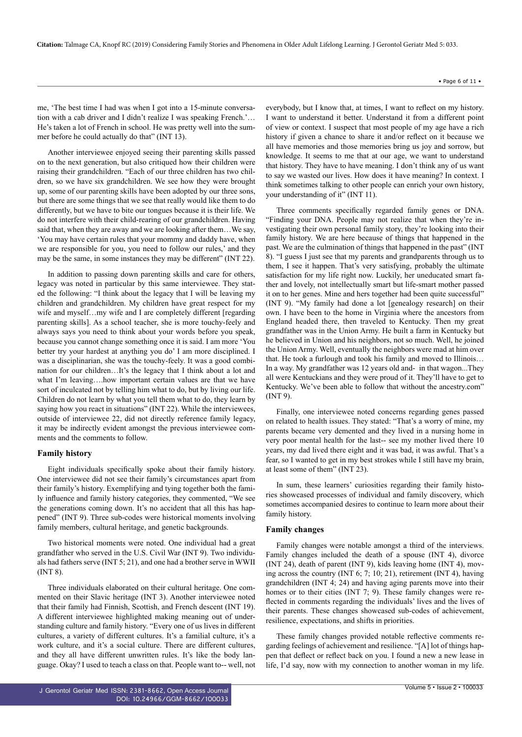me, 'The best time I had was when I got into a 15-minute conversation with a cab driver and I didn't realize I was speaking French.'… He's taken a lot of French in school. He was pretty well into the summer before he could actually do that" (INT 13).

Another interviewee enjoyed seeing their parenting skills passed on to the next generation, but also critiqued how their children were raising their grandchildren. "Each of our three children has two children, so we have six grandchildren. We see how they were brought up, some of our parenting skills have been adopted by our three sons, but there are some things that we see that really would like them to do differently, but we have to bite our tongues because it is their life. We do not interfere with their child-rearing of our grandchildren. Having said that, when they are away and we are looking after them…We say, 'You may have certain rules that your mommy and daddy have, when we are responsible for you, you need to follow our rules,' and they may be the same, in some instances they may be different" (INT 22).

In addition to passing down parenting skills and care for others, legacy was noted in particular by this same interviewee. They stated the following: "I think about the legacy that I will be leaving my children and grandchildren. My children have great respect for my wife and myself...my wife and I are completely different [regarding] parenting skills]. As a school teacher, she is more touchy-feely and always says you need to think about your words before you speak, because you cannot change something once it is said. I am more 'You better try your hardest at anything you do' I am more disciplined. I was a disciplinarian, she was the touchy-feely. It was a good combination for our children…It's the legacy that I think about a lot and what I'm leaving....how important certain values are that we have sort of inculcated not by telling him what to do, but by living our life. Children do not learn by what you tell them what to do, they learn by saying how you react in situations" (INT 22). While the interviewees, outside of interviewee 22, did not directly reference family legacy, it may be indirectly evident amongst the previous interviewee comments and the comments to follow.

#### **Family history**

Eight individuals specifically spoke about their family history. One interviewee did not see their family's circumstances apart from their family's history. Exemplifying and tying together both the family influence and family history categories, they commented, "We see the generations coming down. It's no accident that all this has happened" (INT 9). Three sub-codes were historical moments involving family members, cultural heritage, and genetic backgrounds.

Two historical moments were noted. One individual had a great grandfather who served in the U.S. Civil War (INT 9). Two individuals had fathers serve (INT 5; 21), and one had a brother serve in WWII (INT 8).

Three individuals elaborated on their cultural heritage. One commented on their Slavic heritage (INT 3). Another interviewee noted that their family had Finnish, Scottish, and French descent (INT 19). A different interviewee highlighted making meaning out of understanding culture and family history. "Every one of us lives in different cultures, a variety of different cultures. It's a familial culture, it's a work culture, and it's a social culture. There are different cultures, and they all have different unwritten rules. It's like the body language. Okay? I used to teach a class on that. People want to-- well, not

everybody, but I know that, at times, I want to reflect on my history. I want to understand it better. Understand it from a different point of view or context. I suspect that most people of my age have a rich history if given a chance to share it and/or reflect on it because we all have memories and those memories bring us joy and sorrow, but knowledge. It seems to me that at our age, we want to understand that history. They have to have meaning. I don't think any of us want to say we wasted our lives. How does it have meaning? In context. I think sometimes talking to other people can enrich your own history, your understanding of it" (INT 11).

Three comments specifically regarded family genes or DNA. "Finding your DNA. People may not realize that when they're investigating their own personal family story, they're looking into their family history. We are here because of things that happened in the past. We are the culmination of things that happened in the past" (INT 8). "I guess I just see that my parents and grandparents through us to them, I see it happen. That's very satisfying, probably the ultimate satisfaction for my life right now. Luckily, her uneducated smart father and lovely, not intellectually smart but life-smart mother passed it on to her genes. Mine and hers together had been quite successful" (INT 9). "My family had done a lot [genealogy research] on their own. I have been to the home in Virginia where the ancestors from England headed there, then traveled to Kentucky. Then my great grandfather was in the Union Army. He built a farm in Kentucky but he believed in Union and his neighbors, not so much. Well, he joined the Union Army. Well, eventually the neighbors were mad at him over that. He took a furlough and took his family and moved to Illinois… In a way. My grandfather was 12 years old and- in that wagon...They all were Kentuckians and they were proud of it. They'll have to get to Kentucky. We've been able to follow that without the ancestry.com" (INT 9).

Finally, one interviewee noted concerns regarding genes passed on related to health issues. They stated: "That's a worry of mine, my parents became very demented and they lived in a nursing home in very poor mental health for the last-- see my mother lived there 10 years, my dad lived there eight and it was bad, it was awful. That's a fear, so I wanted to get in my best strokes while I still have my brain, at least some of them" (INT 23).

In sum, these learners' curiosities regarding their family histories showcased processes of individual and family discovery, which sometimes accompanied desires to continue to learn more about their family history.

#### **Family changes**

Family changes were notable amongst a third of the interviews. Family changes included the death of a spouse (INT 4), divorce (INT 24), death of parent (INT 9), kids leaving home (INT 4), moving across the country (INT 6; 7; 10; 21), retirement (INT 4), having grandchildren (INT 4; 24) and having aging parents move into their homes or to their cities (INT 7; 9). These family changes were reflected in comments regarding the individuals' lives and the lives of their parents. These changes showcased sub-codes of achievement, resilience, expectations, and shifts in priorities.

These family changes provided notable reflective comments regarding feelings of achievement and resilience. "[A] lot of things happen that deflect or reflect back on you. I found a new a new lease in life, I'd say, now with my connection to another woman in my life.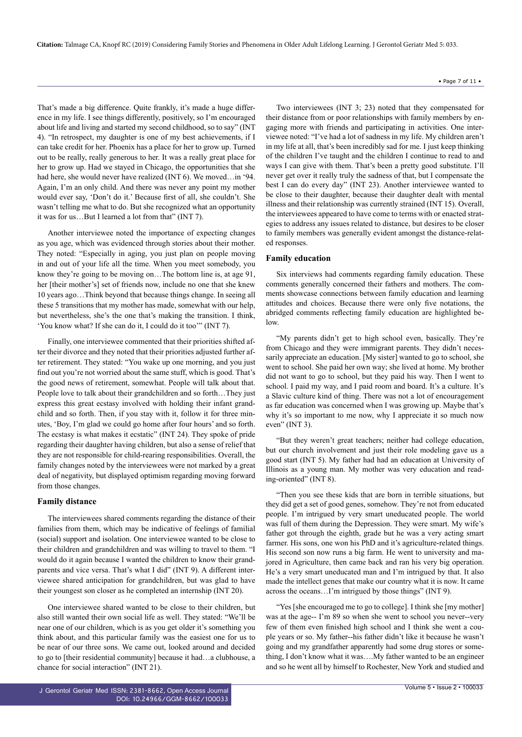That's made a big difference. Quite frankly, it's made a huge difference in my life. I see things differently, positively, so I'm encouraged about life and living and started my second childhood, so to say" (INT 4). "In retrospect, my daughter is one of my best achievements, if I can take credit for her. Phoenix has a place for her to grow up. Turned out to be really, really generous to her. It was a really great place for her to grow up. Had we stayed in Chicago, the opportunities that she had here, she would never have realized (INT 6). We moved…in '94. Again, I'm an only child. And there was never any point my mother would ever say, 'Don't do it.' Because first of all, she couldn't. She wasn't telling me what to do. But she recognized what an opportunity it was for us…But I learned a lot from that" (INT 7).

Another interviewee noted the importance of expecting changes as you age, which was evidenced through stories about their mother. They noted: "Especially in aging, you just plan on people moving in and out of your life all the time. When you meet somebody, you know they're going to be moving on…The bottom line is, at age 91, her [their mother's] set of friends now, include no one that she knew 10 years ago…Think beyond that because things change. In seeing all these 5 transitions that my mother has made, somewhat with our help, but nevertheless, she's the one that's making the transition. I think, 'You know what? If she can do it, I could do it too'" (INT 7).

Finally, one interviewee commented that their priorities shifted after their divorce and they noted that their priorities adjusted further after retirement. They stated: "You wake up one morning, and you just find out you're not worried about the same stuff, which is good. That's the good news of retirement, somewhat. People will talk about that. People love to talk about their grandchildren and so forth…They just express this great ecstasy involved with holding their infant grandchild and so forth. Then, if you stay with it, follow it for three minutes, 'Boy, I'm glad we could go home after four hours' and so forth. The ecstasy is what makes it ecstatic" (INT 24). They spoke of pride regarding their daughter having children, but also a sense of relief that they are not responsible for child-rearing responsibilities. Overall, the family changes noted by the interviewees were not marked by a great deal of negativity, but displayed optimism regarding moving forward from those changes.

#### **Family distance**

The interviewees shared comments regarding the distance of their families from them, which may be indicative of feelings of familial (social) support and isolation. One interviewee wanted to be close to their children and grandchildren and was willing to travel to them. "I would do it again because I wanted the children to know their grandparents and vice versa. That's what I did" (INT 9). A different interviewee shared anticipation for grandchildren, but was glad to have their youngest son closer as he completed an internship (INT 20).

One interviewee shared wanted to be close to their children, but also still wanted their own social life as well. They stated: "We'll be near one of our children, which is as you get older it's something you think about, and this particular family was the easiest one for us to be near of our three sons. We came out, looked around and decided to go to [their residential community] because it had…a clubhouse, a chance for social interaction" (INT 21).

Two interviewees (INT 3; 23) noted that they compensated for their distance from or poor relationships with family members by engaging more with friends and participating in activities. One interviewee noted: "I've had a lot of sadness in my life. My children aren't in my life at all, that's been incredibly sad for me. I just keep thinking of the children I've taught and the children I continue to read to and ways I can give with them. That's been a pretty good substitute. I'll never get over it really truly the sadness of that, but I compensate the best I can do every day" (INT 23). Another interviewee wanted to be close to their daughter, because their daughter dealt with mental illness and their relationship was currently strained (INT 15). Overall, the interviewees appeared to have come to terms with or enacted strategies to address any issues related to distance, but desires to be closer to family members was generally evident amongst the distance-related responses.

# **Family education**

Six interviews had comments regarding family education. These comments generally concerned their fathers and mothers. The comments showcase connections between family education and learning attitudes and choices. Because there were only five notations, the abridged comments reflecting family education are highlighted below.

"My parents didn't get to high school even, basically. They're from Chicago and they were immigrant parents. They didn't necessarily appreciate an education. [My sister] wanted to go to school, she went to school. She paid her own way; she lived at home. My brother did not want to go to school, but they paid his way. Then I went to school. I paid my way, and I paid room and board. It's a culture. It's a Slavic culture kind of thing. There was not a lot of encouragement as far education was concerned when I was growing up. Maybe that's why it's so important to me now, why I appreciate it so much now even" (INT 3).

"But they weren't great teachers; neither had college education, but our church involvement and just their role modeling gave us a good start (INT 5). My father had had an education at University of Illinois as a young man. My mother was very education and reading-oriented" (INT 8).

"Then you see these kids that are born in terrible situations, but they did get a set of good genes, somehow. They're not from educated people. I'm intrigued by very smart uneducated people. The world was full of them during the Depression. They were smart. My wife's father got through the eighth, grade but he was a very acting smart farmer. His sons, one won his PhD and it's agriculture-related things. His second son now runs a big farm. He went to university and majored in Agriculture, then came back and ran his very big operation. He's a very smart uneducated man and I'm intrigued by that. It also made the intellect genes that make our country what it is now. It came across the oceans…I'm intrigued by those things" (INT 9).

"Yes [she encouraged me to go to college]. I think she [my mother] was at the age-- I'm 89 so when she went to school you never--very few of them even finished high school and I think she went a couple years or so. My father--his father didn't like it because he wasn't going and my grandfather apparently had some drug stores or something, I don't know what it was….My father wanted to be an engineer and so he went all by himself to Rochester, New York and studied and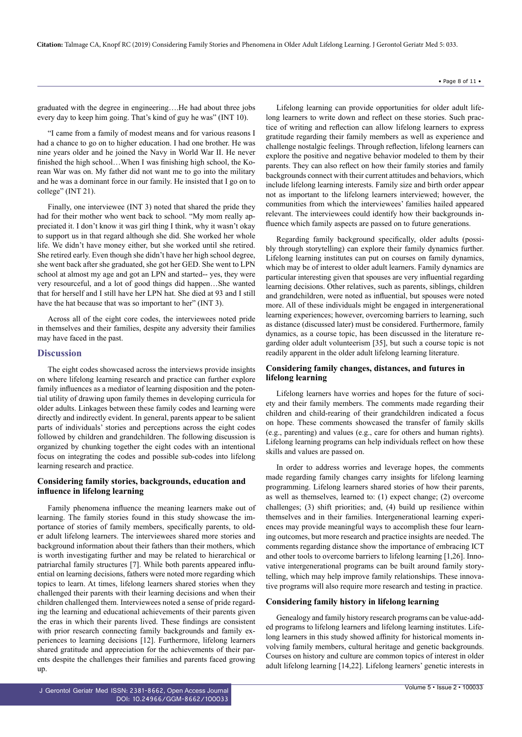graduated with the degree in engineering….He had about three jobs every day to keep him going. That's kind of guy he was" (INT 10).

"I came from a family of modest means and for various reasons I had a chance to go on to higher education. I had one brother. He was nine years older and he joined the Navy in World War II. He never finished the high school…When I was finishing high school, the Korean War was on. My father did not want me to go into the military and he was a dominant force in our family. He insisted that I go on to college" (INT 21).

Finally, one interviewee (INT 3) noted that shared the pride they had for their mother who went back to school. "My mom really appreciated it. I don't know it was girl thing I think, why it wasn't okay to support us in that regard although she did. She worked her whole life. We didn't have money either, but she worked until she retired. She retired early. Even though she didn't have her high school degree, she went back after she graduated, she got her GED. She went to LPN school at almost my age and got an LPN and started-- yes, they were very resourceful, and a lot of good things did happen…She wanted that for herself and I still have her LPN hat. She died at 93 and I still have the hat because that was so important to her" (INT 3).

Across all of the eight core codes, the interviewees noted pride in themselves and their families, despite any adversity their families may have faced in the past.

#### **Discussion**

The eight codes showcased across the interviews provide insights on where lifelong learning research and practice can further explore family influences as a mediator of learning disposition and the potential utility of drawing upon family themes in developing curricula for older adults. Linkages between these family codes and learning were directly and indirectly evident. In general, parents appear to be salient parts of individuals' stories and perceptions across the eight codes followed by children and grandchildren. The following discussion is organized by chunking together the eight codes with an intentional focus on integrating the codes and possible sub-codes into lifelong learning research and practice.

#### **Considering family stories, backgrounds, education and influence in lifelong learning**

Family phenomena influence the meaning learners make out of learning. The family stories found in this study showcase the importance of stories of family members, specifically parents, to older adult lifelong learners. The interviewees shared more stories and background information about their fathers than their mothers, which is worth investigating further and may be related to hierarchical or patriarchal family structures [7]. While both parents appeared influential on learning decisions, fathers were noted more regarding which topics to learn. At times, lifelong learners shared stories when they challenged their parents with their learning decisions and when their children challenged them. Interviewees noted a sense of pride regarding the learning and educational achievements of their parents given the eras in which their parents lived. These findings are consistent with prior research connecting family backgrounds and family experiences to learning decisions [12]. Furthermore, lifelong learners shared gratitude and appreciation for the achievements of their parents despite the challenges their families and parents faced growing up.

Lifelong learning can provide opportunities for older adult lifelong learners to write down and reflect on these stories. Such practice of writing and reflection can allow lifelong learners to express gratitude regarding their family members as well as experience and challenge nostalgic feelings. Through reflection, lifelong learners can explore the positive and negative behavior modeled to them by their parents. They can also reflect on how their family stories and family backgrounds connect with their current attitudes and behaviors, which include lifelong learning interests. Family size and birth order appear not as important to the lifelong learners interviewed; however, the communities from which the interviewees' families hailed appeared relevant. The interviewees could identify how their backgrounds influence which family aspects are passed on to future generations.

Regarding family background specifically, older adults (possibly through storytelling) can explore their family dynamics further. Lifelong learning institutes can put on courses on family dynamics, which may be of interest to older adult learners. Family dynamics are particular interesting given that spouses are very influential regarding learning decisions. Other relatives, such as parents, siblings, children and grandchildren, were noted as influential, but spouses were noted more. All of these individuals might be engaged in intergenerational learning experiences; however, overcoming barriers to learning, such as distance (discussed later) must be considered. Furthermore, family dynamics, as a course topic, has been discussed in the literature regarding older adult volunteerism [35], but such a course topic is not readily apparent in the older adult lifelong learning literature.

# **Considering family changes, distances, and futures in lifelong learning**

Lifelong learners have worries and hopes for the future of society and their family members. The comments made regarding their children and child-rearing of their grandchildren indicated a focus on hope. These comments showcased the transfer of family skills (e.g., parenting) and values (e.g., care for others and human rights). Lifelong learning programs can help individuals reflect on how these skills and values are passed on.

In order to address worries and leverage hopes, the comments made regarding family changes carry insights for lifelong learning programming. Lifelong learners shared stories of how their parents, as well as themselves, learned to: (1) expect change; (2) overcome challenges; (3) shift priorities; and, (4) build up resilience within themselves and in their families. Intergenerational learning experiences may provide meaningful ways to accomplish these four learning outcomes, but more research and practice insights are needed. The comments regarding distance show the importance of embracing ICT and other tools to overcome barriers to lifelong learning [1,26]. Innovative intergenerational programs can be built around family storytelling, which may help improve family relationships. These innovative programs will also require more research and testing in practice.

#### **Considering family history in lifelong learning**

Genealogy and family history research programs can be value-added programs to lifelong learners and lifelong learning institutes. Lifelong learners in this study showed affinity for historical moments involving family members, cultural heritage and genetic backgrounds. Courses on history and culture are common topics of interest in older adult lifelong learning [14,22]. Lifelong learners' genetic interests in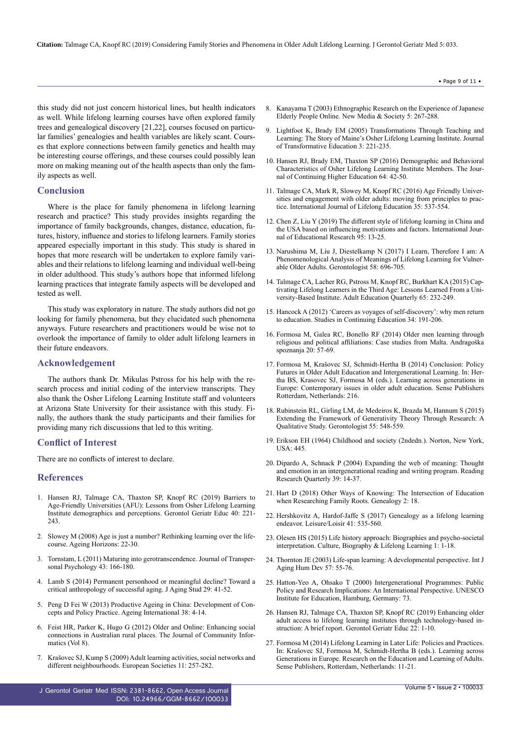this study did not just concern historical lines, but health indicators as well. While lifelong learning courses have often explored family trees and genealogical discovery [21,22], courses focused on particular families' genealogies and health variables are likely scant. Courses that explore connections between family genetics and health may be interesting course offerings, and these courses could possibly lean more on making meaning out of the health aspects than only the family aspects as well.

#### **Conclusion**

Where is the place for family phenomena in lifelong learning research and practice? This study provides insights regarding the importance of family backgrounds, changes, distance, education, futures, history, influence and stories to lifelong learners. Family stories appeared especially important in this study. This study is shared in hopes that more research will be undertaken to explore family variables and their relations to lifelong learning and individual well-being in older adulthood. This study's authors hope that informed lifelong learning practices that integrate family aspects will be developed and tested as well.

This study was exploratory in nature. The study authors did not go looking for family phenomena, but they elucidated such phenomena anyways. Future researchers and practitioners would be wise not to overlook the importance of family to older adult lifelong learners in their future endeavors.

#### **Acknowledgement**

The authors thank Dr. Mikulas Pstross for his help with the research process and initial coding of the interview transcripts. They also thank the Osher Lifelong Learning Institute staff and volunteers at Arizona State University for their assistance with this study. Finally, the authors thank the study participants and their families for providing many rich discussions that led to this writing.

#### **Conflict of Interest**

There are no conflicts of interest to declare.

#### **References**

- 1. [Hansen RJ, Talmage CA, Thaxton SP, Knopf RC \(2019\) Barriers to](https://www.ncbi.nlm.nih.gov/pubmed/30688166) [Age-Friendly Universities \(AFU\): Lessons from Osher Lifelong Learning](https://www.ncbi.nlm.nih.gov/pubmed/30688166) [Institute demographics and perceptions. Gerontol Geriatr Educ 40: 221-](https://www.ncbi.nlm.nih.gov/pubmed/30688166) [243.](https://www.ncbi.nlm.nih.gov/pubmed/30688166)
- 2. [Slowey M \(2008\) Age is just a number? Rethinking learning over the life](https://core.ac.uk/download/pdf/147600314.pdf)[course. Ageing Horizons: 22-30.](https://core.ac.uk/download/pdf/147600314.pdf)
- 3. [Tornstam, L \(2011\) Maturing into gerotranscendence. Journal of Transper](http://www.atpweb.org/jtparchive/trps-43-11-02-166.pdf)[sonal Psychology 43: 166-180.](http://www.atpweb.org/jtparchive/trps-43-11-02-166.pdf)
- 4. [Lamb S \(2014\) Permanent personhood or meaningful decline? Toward a](https://www.ncbi.nlm.nih.gov/pubmed/24655672) [critical anthropology of successful aging. J Aging Stud 29: 41-52.](https://www.ncbi.nlm.nih.gov/pubmed/24655672)
- 5. [Peng D Fei W \(2013\) Productive Ageing in China: Development of Con](https://link.springer.com/article/10.1007/s12126-012-9169-9)[cepts and Policy Practice. Ageing International 38: 4-14.](https://link.springer.com/article/10.1007/s12126-012-9169-9)
- 6. [Feist HR, Parker K, Hugo G \(2012\) Older and Online: Enhancing social](http://ci-journal.net/index.php/ciej/article/view/818) [connections in Australian rural places. The Journal of Community Infor](http://ci-journal.net/index.php/ciej/article/view/818)[matics \(Vol 8\).](http://ci-journal.net/index.php/ciej/article/view/818)
- 7. [Krašovec SJ, Kump S \(2009\) Adult learning activities, social networks and](https://www.researchgate.net/publication/233231231_Adult_learning_activities_social_networks_and_different_neighbourhoods) [different neighbourhoods. European Societies 11: 257-282.](https://www.researchgate.net/publication/233231231_Adult_learning_activities_social_networks_and_different_neighbourhoods)
- Page 9 of 11 •
- 8. [Kanayama T \(2003\) Ethnographic Research on the Experience of Japanese](https://journals.sagepub.com/doi/10.1177/1461444803005002007) [Elderly People Online. New Media & Society 5: 267-288.](https://journals.sagepub.com/doi/10.1177/1461444803005002007)
- 9. [Lightfoot K, Brady EM \(2005\) Transformations Through Teaching and](https://journals.sagepub.com/doi/abs/10.1177/1541344605276667?journalCode=jtda) [Learning: The Story of Maine's Osher Lifelong Learning Institute. Journal](https://journals.sagepub.com/doi/abs/10.1177/1541344605276667?journalCode=jtda) [of Transformative Education 3: 221-235.](https://journals.sagepub.com/doi/abs/10.1177/1541344605276667?journalCode=jtda)
- 10. [Hansen RJ, Brady EM, Thaxton SP \(2016\) Demographic and Behavioral](https://eric.ed.gov/?id=EJ1094326) [Characteristics of Osher Lifelong Learning Institute Members. The Jour](https://eric.ed.gov/?id=EJ1094326)[nal of Continuing Higher Education 64: 42-50.](https://eric.ed.gov/?id=EJ1094326)
- 11. [Talmage CA, Mark R, Slowey M, Knopf RC \(2016\) Age Friendly Univer](https://www.tandfonline.com/doi/abs/10.1080/02601370.2016.1224040)[sities and engagement with older adults: moving from principles to prac](https://www.tandfonline.com/doi/abs/10.1080/02601370.2016.1224040)[tice. International Journal of Lifelong Education 35: 537-554.](https://www.tandfonline.com/doi/abs/10.1080/02601370.2016.1224040)
- 12. [Chen Z, Liu Y \(2019\) The different style of lifelong learning in China and](https://www.sciencedirect.com/science/article/pii/S0883035518320305) [the USA based on influencing motivations and factors. International Jour](https://www.sciencedirect.com/science/article/pii/S0883035518320305)[nal of Educational Research 95: 13-25.](https://www.sciencedirect.com/science/article/pii/S0883035518320305)
- 13. [Narushima M, Liu J, Diestelkamp N \(2017\) I Learn, Therefore I am: A](https://www.ncbi.nlm.nih.gov/pubmed/28449054) [Phenomenological Analysis of Meanings of Lifelong Learning for Vulner](https://www.ncbi.nlm.nih.gov/pubmed/28449054)[able Older Adults. Gerontologist 58: 696-705.](https://www.ncbi.nlm.nih.gov/pubmed/28449054)
- 14. [Talmage CA, Lacher RG, Pstross M, Knopf RC, Burkhart KA \(2015\) Cap](https://journals.sagepub.com/doi/abs/10.1177/0741713615577109)[tivating Lifelong Learners in the Third Age: Lessons Learned From a Uni](https://journals.sagepub.com/doi/abs/10.1177/0741713615577109)[versity-Based Institute. Adult Education Quarterly 65: 232-249.](https://journals.sagepub.com/doi/abs/10.1177/0741713615577109)
- 15. [Hancock A \(2012\) 'Careers as voyages of self-discovery': why men return](https://www.tandfonline.com/doi/abs/10.1080/0158037X.2011.609164?journalCode=csce20) [to education. Studies in Continuing Education 34: 191-206.](https://www.tandfonline.com/doi/abs/10.1080/0158037X.2011.609164?journalCode=csce20)
- 16. [Formosa M, Galea RC, Bonello RF \(2014\) Older men learning through](https://www.researchgate.net/publication/277664559_Older_men_learning_through_religious_and_political_affiliations_Case_studies_from_Malta) [religious and political affiliations: Case studies from Malta. Andragoška](https://www.researchgate.net/publication/277664559_Older_men_learning_through_religious_and_political_affiliations_Case_studies_from_Malta) [spoznanja 20: 57-69.](https://www.researchgate.net/publication/277664559_Older_men_learning_through_religious_and_political_affiliations_Case_studies_from_Malta)
- 17. [Formosa M, Krašovec SJ, Schmidt-Hertha B \(2014\) Conclusion: Policy](https://www.springer.com/gp/book/9789462099029) [Futures in Older Adult Education and Intergenerational Learning. In: Her](https://www.springer.com/gp/book/9789462099029)[tha BS, Krasovec SJ, Formosa M \(eds.\). Learning across generations in](https://www.springer.com/gp/book/9789462099029) [Europe: Contemporary issues in older adult education. Sense Publishers](https://www.springer.com/gp/book/9789462099029) [Rotterdam, Netherlands: 216.](https://www.springer.com/gp/book/9789462099029)
- 18. [Rubinstein RL, Girling LM, de Medeiros K, Brazda M, Hannum S \(2015\)](https://www.ncbi.nlm.nih.gov/pubmed/24704718) [Extending the Framework of Generativity Theory Through Research: A](https://www.ncbi.nlm.nih.gov/pubmed/24704718) [Qualitative Study. Gerontologist 55: 548-559.](https://www.ncbi.nlm.nih.gov/pubmed/24704718)
- 19. [Erikson EH \(1964\) Childhood and society \(2ndedn.\). Norton, New York,](https://openlibrary.org/books/OL21301818M/Childhood_and_society.) [USA: 445.](https://openlibrary.org/books/OL21301818M/Childhood_and_society.)
- 20. [Dipardo A, Schnack P \(2004\) Expanding the web of meaning: Thought](https://ila.onlinelibrary.wiley.com/doi/abs/10.1598/RRQ.39.1.3) [and emotion in an intergenerational reading and writing program. Reading](https://ila.onlinelibrary.wiley.com/doi/abs/10.1598/RRQ.39.1.3) [Research Quarterly 39: 14-37.](https://ila.onlinelibrary.wiley.com/doi/abs/10.1598/RRQ.39.1.3)
- 21. [Hart D \(2018\) Other Ways of Knowing: The Intersection of Education](https://www.mdpi.com/2313-5778/2/2/18) [when Researching Family Roots. Genealogy 2: 18.](https://www.mdpi.com/2313-5778/2/2/18)
- 22. [Hershkovitz A, Hardof-Jaffe S \(2017\) Genealogy as a lifelong learning](https://www.tandfonline.com/doi/abs/10.1080/14927713.2017.1399817?journalCode=rloi20) [endeavor. Leisure/Loisir 41: 535-560.](https://www.tandfonline.com/doi/abs/10.1080/14927713.2017.1399817?journalCode=rloi20)
- 23. [Olesen HS \(2015\) Life history approach: Biographies and psycho-societal](https://pdfs.semanticscholar.org/842d/a3dc3a2c876817b5eada37e60a5c9eb73d22.pdf?_ga=2.119111564.409368005.1563343885-710876305.1560924140) [interpretation. Culture, Biography & Lifelong Learning 1: 1-18.](https://pdfs.semanticscholar.org/842d/a3dc3a2c876817b5eada37e60a5c9eb73d22.pdf?_ga=2.119111564.409368005.1563343885-710876305.1560924140)
- 24. [Thornton JE \(2003\) Life-span learning: A developmental perspective. Int J](https://www.ncbi.nlm.nih.gov/pubmed/14977240) [Aging Hum Dev 57: 55-76.](https://www.ncbi.nlm.nih.gov/pubmed/14977240)
- 25. [Hatton-Yeo A, Ohsako T \(2000\) Intergenerational Programmes: Public](https://eric.ed.gov/?id=ED458364) [Policy and Research Implications: An International Perspective. UNESCO](https://eric.ed.gov/?id=ED458364) [Institute for Education, Hamburg, Germany: 73.](https://eric.ed.gov/?id=ED458364)
- 26. [Hansen RJ, Talmage CA, Thaxton SP, Knopf RC \(2019\) Enhancing older](https://www.ncbi.nlm.nih.gov/pubmed/31116688) [adult access to lifelong learning institutes through technology-based in](https://www.ncbi.nlm.nih.gov/pubmed/31116688)[struction: A brief report. Gerontol Geriatr Educ 22: 1-10.](https://www.ncbi.nlm.nih.gov/pubmed/31116688)
- 27. [Formosa M \(2014\) Lifelong Learning in Later Life: Policies and Practices.](https://link.springer.com/chapter/10.1007/978-94-6209-902-9_2) [In: Krašovec SJ, Formosa M, Schmidt-Hertha B \(eds.\). Learning across](https://link.springer.com/chapter/10.1007/978-94-6209-902-9_2) [Generations in Europe. Research on the Education and Learning of Adults.](https://link.springer.com/chapter/10.1007/978-94-6209-902-9_2) [Sense Publishers, Rotterdam, Netherlands: 11-21.](https://link.springer.com/chapter/10.1007/978-94-6209-902-9_2)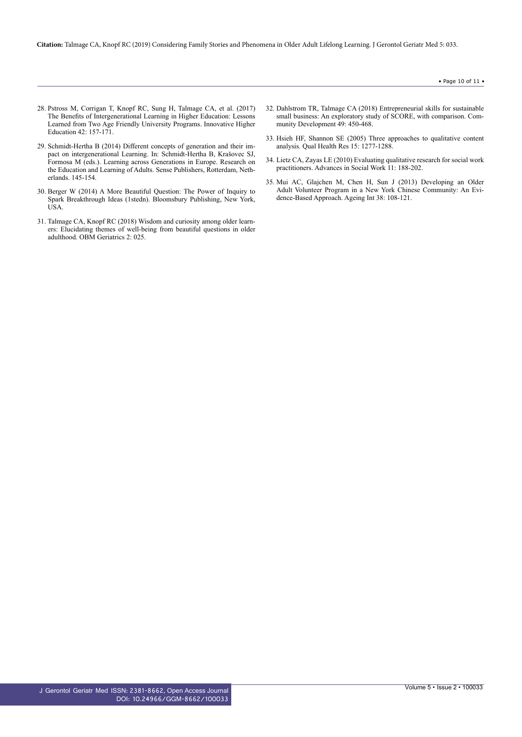**Citation:** Talmage CA, Knopf RC (2019) Considering Family Stories and Phenomena in Older Adult Lifelong Learning. J Gerontol Geriatr Med 5: 033.

- 28. [Pstross M, Corrigan T, Knopf RC, Sung H, Talmage CA, et al. \(2017\)](https://link.springer.com/article/10.1007/s10755-016-9371-x) [The Benefits of Intergenerational Learning in Higher Education: Lessons](https://link.springer.com/article/10.1007/s10755-016-9371-x) [Learned from Two Age Friendly University Programs. Innovative Higher](https://link.springer.com/article/10.1007/s10755-016-9371-x) [Education 42: 157-171.](https://link.springer.com/article/10.1007/s10755-016-9371-x)
- 29. [Schmidt-Hertha B \(2014\) Different concepts of generation and their im](https://link.springer.com/chapter/10.1007/978-94-6209-902-9_12)[pact on intergenerational Learning. In: Schmidt-Hertha B, Krašovec SJ,](https://link.springer.com/chapter/10.1007/978-94-6209-902-9_12) [Formosa M \(eds.\). Learning across Generations in Europe. Research on](https://link.springer.com/chapter/10.1007/978-94-6209-902-9_12) [the Education and Learning of Adults. Sense Publishers, Rotterdam, Neth](https://link.springer.com/chapter/10.1007/978-94-6209-902-9_12)[erlands. 145-154.](https://link.springer.com/chapter/10.1007/978-94-6209-902-9_12)
- 30. [Berger W \(2014\) A More Beautiful Question: The Power of Inquiry to](https://www.bloomsbury.com/us/a-more-beautiful-question-9781620401460/) [Spark Breakthrough Ideas \(1stedn\). Bloomsbury Publishing, New York,](https://www.bloomsbury.com/us/a-more-beautiful-question-9781620401460/) [USA.](https://www.bloomsbury.com/us/a-more-beautiful-question-9781620401460/)
- 31. [Talmage CA, Knopf RC \(2018\) Wisdom and curiosity among older learn](http://www.lidsen.com/journals/geriatrics/geriatrics-02-04-025)[ers: Elucidating themes of well-being from beautiful questions in older](http://www.lidsen.com/journals/geriatrics/geriatrics-02-04-025) [adulthood. OBM Geriatrics 2: 025.](http://www.lidsen.com/journals/geriatrics/geriatrics-02-04-025)
- 32. [Dahlstrom TR, Talmage CA \(2018\) Entrepreneurial skills for sustainable](https://www.tandfonline.com/doi/abs/10.1080/15575330.2018.1491613?journalCode=rcod20) [small business: An exploratory study of SCORE, with comparison. Com](https://www.tandfonline.com/doi/abs/10.1080/15575330.2018.1491613?journalCode=rcod20)[munity Development 49: 450-468.](https://www.tandfonline.com/doi/abs/10.1080/15575330.2018.1491613?journalCode=rcod20)
- 33. [Hsieh HF, Shannon SE \(2005\) Three approaches to qualitative content](https://www.ncbi.nlm.nih.gov/pubmed/16204405) [analysis. Qual Health Res 15: 1277-1288.](https://www.ncbi.nlm.nih.gov/pubmed/16204405)
- 34. [Lietz CA, Zayas LE \(2010\) Evaluating qualitative research for social work](http://ksumsc.com/download_center/Archive/3rd/432/Male/First%20semester/Research/13-Qualitative%20Research_/13-589-5582-1-PB.pdf) [practitioners. Advances in Social Work 11: 188-202.](http://ksumsc.com/download_center/Archive/3rd/432/Male/First%20semester/Research/13-Qualitative%20Research_/13-589-5582-1-PB.pdf)
- 35. [Mui AC, Glajchen M, Chen H, Sun J \(2013\) Developing an Older](https://www.ncbi.nlm.nih.gov/pubmed/23645945) [Adult Volunteer Program in a New York Chinese Community: An Evi](https://www.ncbi.nlm.nih.gov/pubmed/23645945)[dence-Based Approach. Ageing Int 38: 108-121.](https://www.ncbi.nlm.nih.gov/pubmed/23645945)